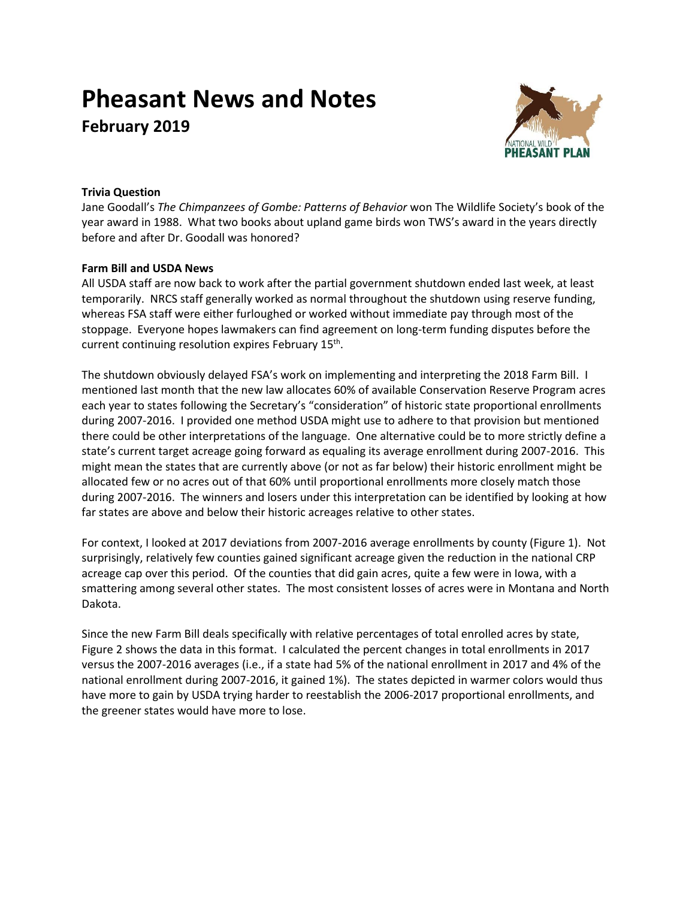# **Pheasant News and Notes February 2019**



## **Trivia Question**

Jane Goodall's *The Chimpanzees of Gombe: Patterns of Behavior* won The Wildlife Society's book of the year award in 1988. What two books about upland game birds won TWS's award in the years directly before and after Dr. Goodall was honored?

### **Farm Bill and USDA News**

All USDA staff are now back to work after the partial government shutdown ended last week, at least temporarily. NRCS staff generally worked as normal throughout the shutdown using reserve funding, whereas FSA staff were either furloughed or worked without immediate pay through most of the stoppage. Everyone hopes lawmakers can find agreement on long-term funding disputes before the current continuing resolution expires February 15<sup>th</sup>.

The shutdown obviously delayed FSA's work on implementing and interpreting the 2018 Farm Bill. I mentioned last month that the new law allocates 60% of available Conservation Reserve Program acres each year to states following the Secretary's "consideration" of historic state proportional enrollments during 2007-2016. I provided one method USDA might use to adhere to that provision but mentioned there could be other interpretations of the language. One alternative could be to more strictly define a state's current target acreage going forward as equaling its average enrollment during 2007-2016. This might mean the states that are currently above (or not as far below) their historic enrollment might be allocated few or no acres out of that 60% until proportional enrollments more closely match those during 2007-2016. The winners and losers under this interpretation can be identified by looking at how far states are above and below their historic acreages relative to other states.

For context, I looked at 2017 deviations from 2007-2016 average enrollments by county (Figure 1). Not surprisingly, relatively few counties gained significant acreage given the reduction in the national CRP acreage cap over this period. Of the counties that did gain acres, quite a few were in Iowa, with a smattering among several other states. The most consistent losses of acres were in Montana and North Dakota.

Since the new Farm Bill deals specifically with relative percentages of total enrolled acres by state, Figure 2 shows the data in this format. I calculated the percent changes in total enrollments in 2017 versus the 2007-2016 averages (i.e., if a state had 5% of the national enrollment in 2017 and 4% of the national enrollment during 2007-2016, it gained 1%). The states depicted in warmer colors would thus have more to gain by USDA trying harder to reestablish the 2006-2017 proportional enrollments, and the greener states would have more to lose.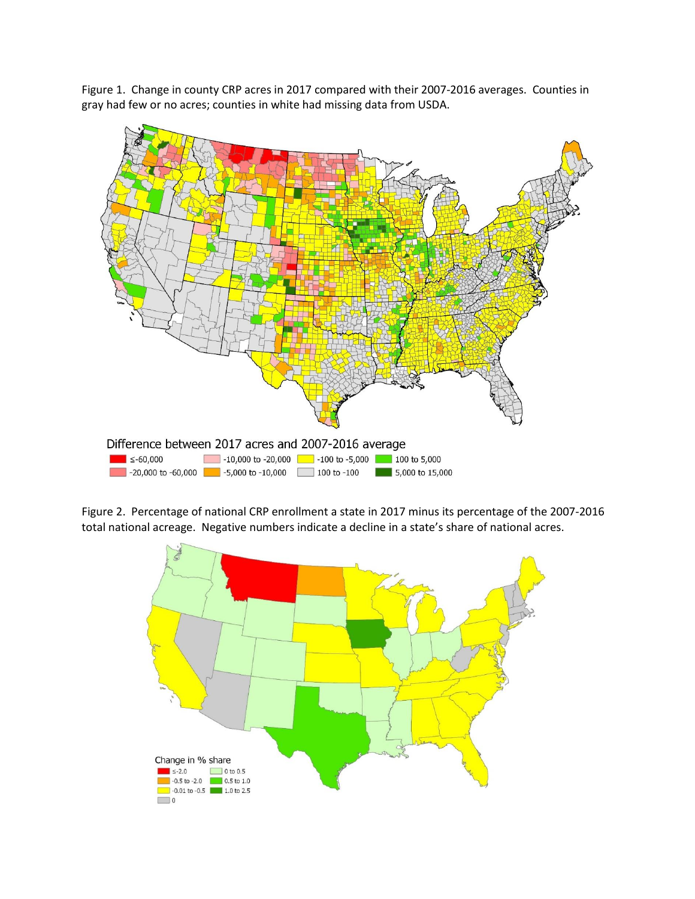Figure 1. Change in county CRP acres in 2017 compared with their 2007-2016 averages. Counties in gray had few or no acres; counties in white had missing data from USDA.



Figure 2. Percentage of national CRP enrollment a state in 2017 minus its percentage of the 2007-2016 total national acreage. Negative numbers indicate a decline in a state's share of national acres.

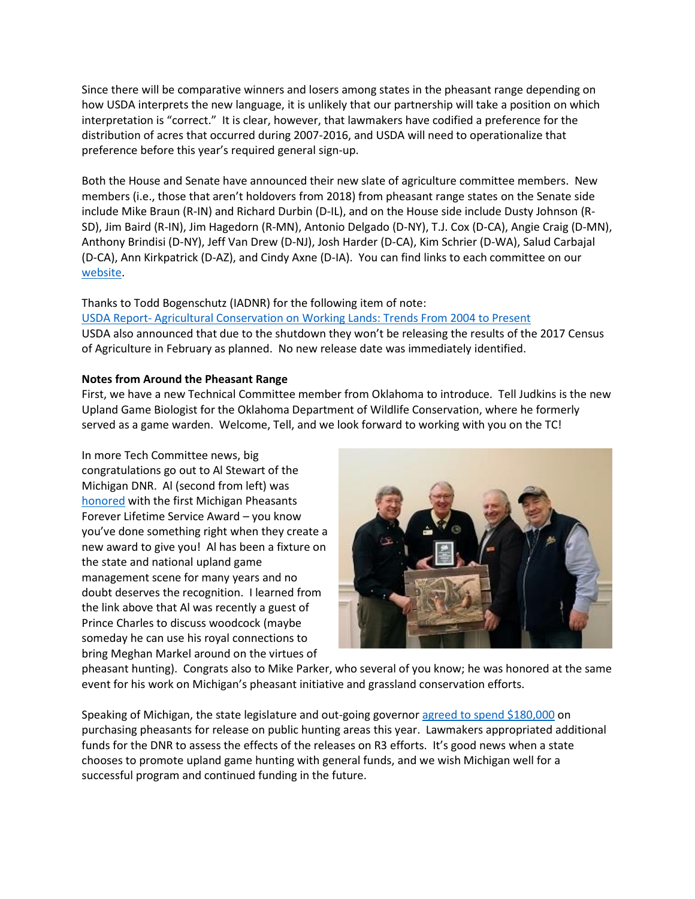Since there will be comparative winners and losers among states in the pheasant range depending on how USDA interprets the new language, it is unlikely that our partnership will take a position on which interpretation is "correct." It is clear, however, that lawmakers have codified a preference for the distribution of acres that occurred during 2007-2016, and USDA will need to operationalize that preference before this year's required general sign-up.

Both the House and Senate have announced their new slate of agriculture committee members. New members (i.e., those that aren't holdovers from 2018) from pheasant range states on the Senate side include Mike Braun (R-IN) and Richard Durbin (D-IL), and on the House side include Dusty Johnson (R-SD), Jim Baird (R-IN), Jim Hagedorn (R-MN), Antonio Delgado (D-NY), T.J. Cox (D-CA), Angie Craig (D-MN), Anthony Brindisi (D-NY), Jeff Van Drew (D-NJ), Josh Harder (D-CA), Kim Schrier (D-WA), Salud Carbajal (D-CA), Ann Kirkpatrick (D-AZ), and Cindy Axne (D-IA). You can find links to each committee on our [website.](http://nationalpheasantplan.org/policy/)

Thanks to Todd Bogenschutz (IADNR) for the following item of note: USDA Report- [Agricultural Conservation on Working Lands: Trends From 2004 to Present](https://farmpolicynews.illinois.edu/2019/01/usda-report-agricultural-conservation-on-working-lands-trends-from-2004-to-present/?utm_source=farmdoc+daily+and+Farm+Policy+News+Updates&utm_campaign=b2735fb22c-FPN_RSS_EMAIL_CAMPAIGN&utm_medium=email&utm_term=0_2caf2f9764-b2735fb22c-173639225) USDA also announced that due to the shutdown they won't be releasing the results of the 2017 Census of Agriculture in February as planned. No new release date was immediately identified.

#### **Notes from Around the Pheasant Range**

First, we have a new Technical Committee member from Oklahoma to introduce. Tell Judkins is the new Upland Game Biologist for the Oklahoma Department of Wildlife Conservation, where he formerly served as a game warden. Welcome, Tell, and we look forward to working with you on the TC!

In more Tech Committee news, big congratulations go out to Al Stewart of the Michigan DNR. Al (second from left) was [honored](https://content.govdelivery.com/accounts/MIDNR/bulletins/228a71e) with the first Michigan Pheasants Forever Lifetime Service Award – you know you've done something right when they create a new award to give you! Al has been a fixture on the state and national upland game management scene for many years and no doubt deserves the recognition. I learned from the link above that Al was recently a guest of Prince Charles to discuss woodcock (maybe someday he can use his royal connections to bring Meghan Markel around on the virtues of



pheasant hunting). Congrats also to Mike Parker, who several of you know; he was honored at the same event for his work on Michigan's pheasant initiative and grassland conservation efforts.

Speaking of Michigan, the state legislature and out-going governor [agreed to spend \\$180,000](https://www.woodtv.com/news/michigan/lawmakers-vote-to-spend-180k-on-pheasants-for-hunting/1682216223) on purchasing pheasants for release on public hunting areas this year. Lawmakers appropriated additional funds for the DNR to assess the effects of the releases on R3 efforts. It's good news when a state chooses to promote upland game hunting with general funds, and we wish Michigan well for a successful program and continued funding in the future.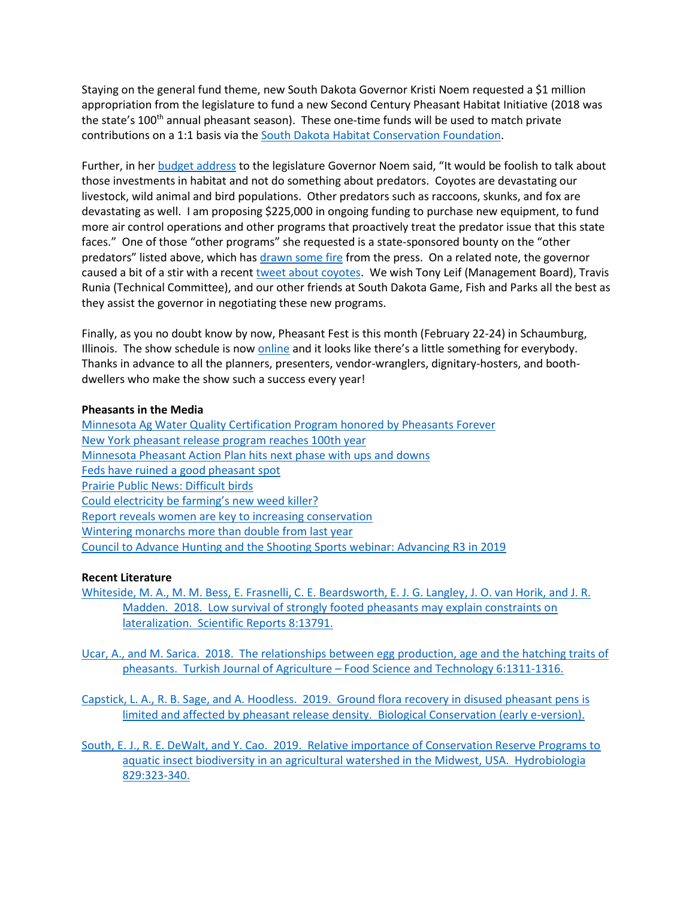Staying on the general fund theme, new South Dakota Governor Kristi Noem requested a \$1 million appropriation from the legislature to fund a new Second Century Pheasant Habitat Initiative (2018 was the state's 100<sup>th</sup> annual pheasant season). These one-time funds will be used to match private contributions on a 1:1 basis via the South Dakota [Habitat Conservation Foundation.](http://habitat.sd.gov/resources/habitatconservationfund.aspx)

Further, in her [budget address](https://www.youtube.com/watch?v=2oD0F9YNAYA&t=1848s) to the legislature Governor Noem said, "It would be foolish to talk about those investments in habitat and not do something about predators. Coyotes are devastating our livestock, wild animal and bird populations. Other predators such as raccoons, skunks, and fox are devastating as well. I am proposing \$225,000 in ongoing funding to purchase new equipment, to fund more air control operations and other programs that proactively treat the predator issue that this state faces." One of those "other programs" she requested is a state-sponsored bounty on the "other predators" listed above, which has [drawn some fire](https://www.capjournal.com/opinions/editorial/state-dollars-shouldn-t-be-used-on-predator-bounties/article_f999ddda-1941-11e9-97b2-afc846d80c64.html) from the press. On a related note, the governor caused a bit of a stir with a recent [tweet about coyotes.](https://twitter.com/govkristinoem/status/1088800757309149184) We wish Tony Leif (Management Board), Travis Runia (Technical Committee), and our other friends at South Dakota Game, Fish and Parks all the best as they assist the governor in negotiating these new programs.

Finally, as you no doubt know by now, Pheasant Fest is this month (February 22-24) in Schaumburg, Illinois. The show schedule is now [online](https://pheasantsforever.org/getmedia/853cfdab-15c8-4ed8-b619-23390619887a/2019Showguide.aspx) and it looks like there's a little something for everybody. Thanks in advance to all the planners, presenters, vendor-wranglers, dignitary-hosters, and boothdwellers who make the show such a success every year!

#### **Pheasants in the Media**

Minnesota Ag Water Quality Certification Program honored by Pheasants Forever [New York pheasant release program reaches 100th year](https://www.wellsvilledaily.com/news/20190126/strongpheasant-release-program-reaches-100th-yearstrong) [Minnesota Pheasant Action Plan hits next phase with ups and downs](http://www.startribune.com/minnesota-pheasant-action-plan-hits-next-phase-with-ups-and-downs/504405172/) [Feds have ruined a good pheasant spot](https://www.bozemandailychronicle.com/opinions/chronicle_columnists/parker_heinlein/feds-have-ruined-a-good-pheasant-spot/article_98857443-3dc3-50ff-8d46-d302abb650e6.html) [Prairie Public News: Difficult birds](http://news.prairiepublic.org/post/difficult-birds) [Could electricity be farming's new weed killer?](https://www.agweb.com/article/old-sparky-could-electricity-be-farmings-new-weed-killer/) [Report reveals women are key to increasing conservation](https://www.agdaily.com/news/report-reveals-women-key-conservation/) [Wintering monarchs more than double from last year](https://monarchwatch.org/blog/2019/01/30/monarch-population-status-37/) [Council to Advance Hunting and the Shooting Sports webinar: Advancing R3 in 2019](https://www.youtube.com/watch?v=lqFZ254H1KE&feature=youtu.be)

### **Recent Literature**

[Whiteside, M. A., M. M. Bess, E. Frasnelli, C. E. Beardsworth, E. J. G. Langley, J. O. van Horik, and J. R.](https://www.nature.com/articles/s41598-018-32066-1)  [Madden. 2018. Low survival of strongly footed pheasants may explain constraints on](https://www.nature.com/articles/s41598-018-32066-1)  [lateralization. Scientific Reports](https://www.nature.com/articles/s41598-018-32066-1) 8:13791.

[Ucar, A., and M. Sarica. 2018. The relationships between egg production, age and the hatching traits of](http://agrifoodscience.org/index.php/TURJAF/article/view/1765/865)  pheasants. Turkish Journal of Agriculture – [Food Science and Technology 6:1311-1316.](http://agrifoodscience.org/index.php/TURJAF/article/view/1765/865)

[Capstick, L. A., R. B. Sage, and A. Hoodless. 2019. Ground flora recovery in disused pheasant pens is](https://www.sciencedirect.com/science/article/abs/pii/S0006320718311339?via%3Dihub)  [limited and affected by pheasant release density. Biological Conservation](https://www.sciencedirect.com/science/article/abs/pii/S0006320718311339?via%3Dihub) (early e-version).

[South, E. J., R. E. DeWalt, and Y. Cao. 2019. Relative importance of Conservation Reserve Programs to](https://link.springer.com/article/10.1007/s10750-018-3842-2)  [aquatic insect biodiversity in an agricultural watershed in the Midwest, USA. Hydrobiologia](https://link.springer.com/article/10.1007/s10750-018-3842-2)  [829:323-340.](https://link.springer.com/article/10.1007/s10750-018-3842-2)